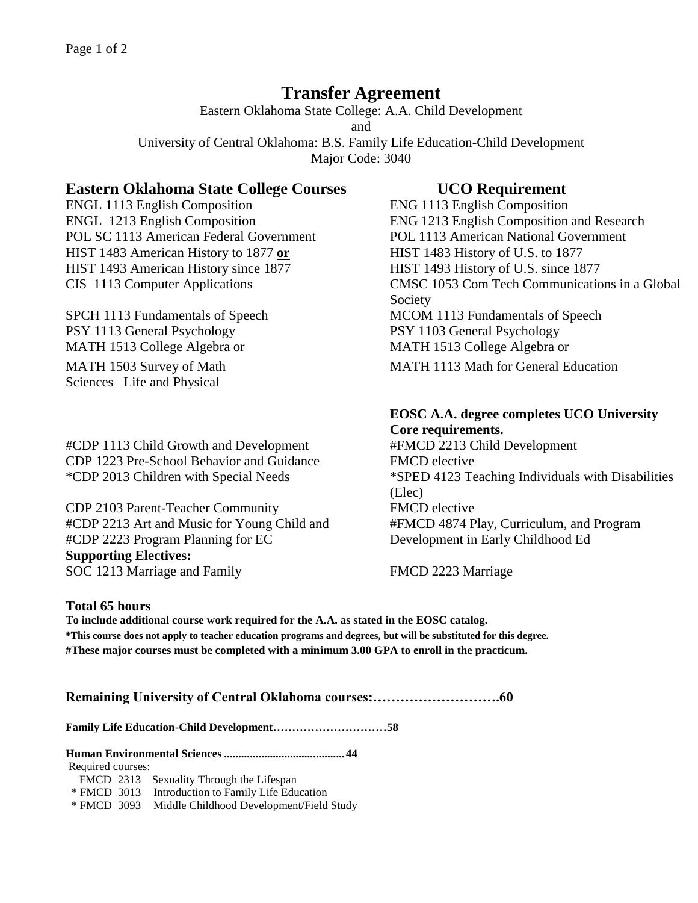# **Transfer Agreement**

Eastern Oklahoma State College: A.A. Child Development and University of Central Oklahoma: B.S. Family Life Education-Child Development Major Code: 3040

## **Eastern Oklahoma State College Courses UCO Requirement**

ENGL 1113 English Composition ENG 1113 English Composition POL SC 1113 American Federal Government POL 1113 American National Government HIST 1483 American History to 1877 **or** HIST 1483 History of U.S. to 1877 HIST 1493 American History since 1877 HIST 1493 History of U.S. since 1877

PSY 1113 General Psychology PSY 1103 General Psychology MATH 1513 College Algebra or MATH 1513 College Algebra or Sciences –Life and Physical

#CDP 1113 Child Growth and Development #FMCD 2213 Child Development CDP 1223 Pre-School Behavior and Guidance FMCD elective

CDP 2103 Parent-Teacher Community FMCD elective #CDP 2213 Art and Music for Young Child and #CDP 2223 Program Planning for EC **Supporting Electives:** SOC 1213 Marriage and Family FMCD 2223 Marriage

ENGL 1213 English Composition ENG 1213 English Composition and Research CIS 1113 Computer Applications CMSC 1053 Com Tech Communications in a Global Society SPCH 1113 Fundamentals of Speech MCOM 1113 Fundamentals of Speech MATH 1503 Survey of Math MATH 1113 Math for General Education

# **EOSC A.A. degree completes UCO University**

**Core requirements.** \*CDP 2013 Children with Special Needs \*SPED 4123 Teaching Individuals with Disabilities (Elec) #FMCD 4874 Play, Curriculum, and Program Development in Early Childhood Ed

## **Total 65 hours**

**To include additional course work required for the A.A. as stated in the EOSC catalog. \*This course does not apply to teacher education programs and degrees, but will be substituted for this degree. #These major courses must be completed with a minimum 3.00 GPA to enroll in the practicum.**

**Remaining University of Central Oklahoma courses:……………………….60**

**Family Life Education-Child Development…………………………58**

**Human Environmental Sciences..........................................44**

Required courses:

FMCD 2313 Sexuality Through the Lifespan

\* FMCD 3013 Introduction to Family Life Education

\* FMCD 3093 Middle Childhood Development/Field Study